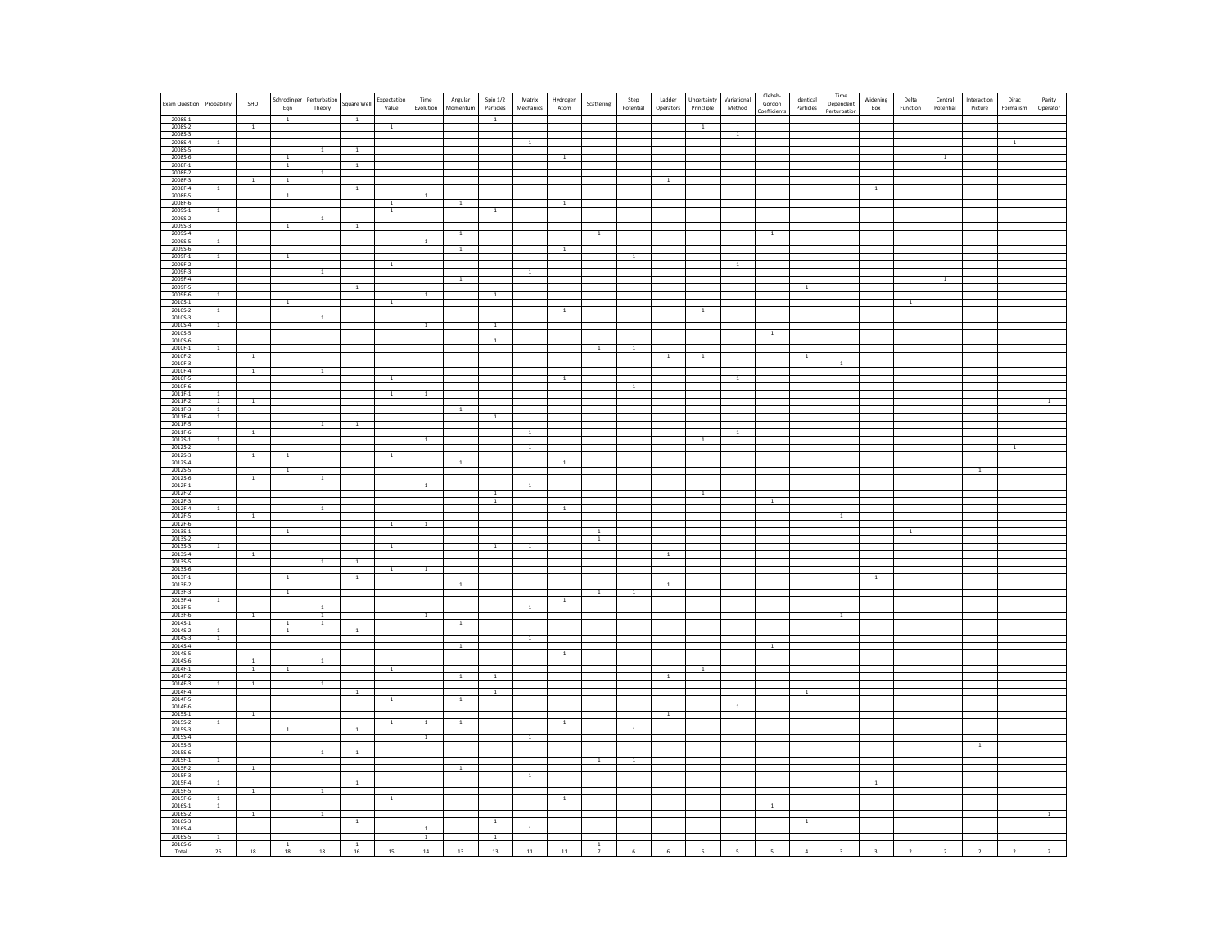| <b>Exam Question</b> | Probability             | SHO            | Schrodinger<br>Eqn             | Perturbation<br>Theory | Square Well    | Expectation<br>Value | Time<br>Evolution | Angular<br>Momentum | Spin $1/2$<br>Particles | $\sf{Matrix}$<br>Mechanics | Hydrogen<br>Atom | Scattering                     | Step<br>Potential | Ladder<br>Operators | Uncertainty<br>Princliple | Variational<br>Method | Clebsh-<br>Gordon<br>Coefficients | Identical<br>Particles | Time<br>Dependent<br>Perturbation | Widening<br>Box | Delta<br>Function | Central<br>Potential | Interaction<br>Picture | Dirac<br>Formalism | Parity<br>Operator |
|----------------------|-------------------------|----------------|--------------------------------|------------------------|----------------|----------------------|-------------------|---------------------|-------------------------|----------------------------|------------------|--------------------------------|-------------------|---------------------|---------------------------|-----------------------|-----------------------------------|------------------------|-----------------------------------|-----------------|-------------------|----------------------|------------------------|--------------------|--------------------|
| 2008S-1<br>2008S-2   |                         | <sup>1</sup>   | $\overline{1}$                 |                        | $\mathbf{1}$   | $\mathbf{1}$         |                   |                     | $\mathbf{1}$            |                            |                  |                                |                   |                     | $\mathbf{1}$              |                       |                                   |                        |                                   |                 |                   |                      |                        |                    |                    |
| 2008S-3              |                         |                |                                |                        |                |                      |                   |                     |                         |                            |                  |                                |                   |                     |                           | $\mathbf{1}$          |                                   |                        |                                   |                 |                   |                      |                        |                    |                    |
| 2008S-4<br>2008S-5   | <sup>1</sup>            |                |                                | $\mathbf{1}$           | $\overline{1}$ |                      |                   |                     |                         | $\mathbf{1}$               |                  |                                |                   |                     |                           |                       |                                   |                        |                                   |                 |                   |                      |                        |                    |                    |
| 2008S-6<br>2008F-1   |                         |                | $\overline{1}$                 |                        | <sup>1</sup>   |                      |                   |                     |                         |                            | $\overline{1}$   |                                |                   |                     |                           |                       |                                   |                        |                                   |                 |                   | <sup>1</sup>         |                        |                    |                    |
| 2008F-2              |                         |                | $\overline{1}$                 | $\mathbf{1}$           |                |                      |                   |                     |                         |                            |                  |                                |                   |                     |                           |                       |                                   |                        |                                   |                 |                   |                      |                        |                    |                    |
| 2008F-3              |                         |                | $\overline{1}$                 |                        |                |                      |                   |                     |                         |                            |                  |                                |                   | $\mathbf{1}$        |                           |                       |                                   |                        |                                   |                 |                   |                      |                        |                    |                    |
| 2008F-4<br>2008F-5   | $\mathbf{1}$            |                | $\overline{1}$                 |                        | $\overline{1}$ |                      | $\mathbf{1}$      |                     |                         |                            |                  |                                |                   |                     |                           |                       |                                   |                        |                                   | $\mathbf{1}$    |                   |                      |                        |                    |                    |
| 2008F-6              |                         |                |                                |                        |                | 1                    |                   | $\mathbf{1}$        |                         |                            | <sup>1</sup>     |                                |                   |                     |                           |                       |                                   |                        |                                   |                 |                   |                      |                        |                    |                    |
| 2009S-1<br>2009S-2   | $\mathbf{1}$            |                |                                | 1                      |                | $\mathbf{1}$         |                   |                     | $\mathbf{1}$            |                            |                  |                                |                   |                     |                           |                       |                                   |                        |                                   |                 |                   |                      |                        |                    |                    |
| 2009S-3              |                         |                | $\,$ 1                         |                        | $\mathbf{1}$   |                      |                   |                     |                         |                            |                  |                                |                   |                     |                           |                       |                                   |                        |                                   |                 |                   |                      |                        |                    |                    |
| 2009S-4<br>2009S-5   | $\overline{1}$          |                |                                |                        |                |                      | $\overline{1}$    | $1\,$               |                         |                            |                  | 1                              |                   |                     |                           |                       | $1\,$                             |                        |                                   |                 |                   |                      |                        |                    |                    |
| 2009S-6              |                         |                |                                |                        |                |                      |                   |                     |                         |                            | $\mathbf{1}$     |                                |                   |                     |                           |                       |                                   |                        |                                   |                 |                   |                      |                        |                    |                    |
| 2009F-1<br>2009F-2   | $\mathbf{1}$            |                | $\,$ 1                         |                        |                | <sup>1</sup>         |                   |                     |                         |                            |                  |                                | <sup>1</sup>      |                     |                           | 1                     |                                   |                        |                                   |                 |                   |                      |                        |                    |                    |
| 2009F-3              |                         |                |                                | 1                      |                |                      |                   |                     |                         | -1.                        |                  |                                |                   |                     |                           |                       |                                   |                        |                                   |                 |                   |                      |                        |                    |                    |
| 2009F-4<br>2009F-5   |                         |                |                                |                        |                |                      |                   | $\overline{1}$      |                         |                            |                  |                                |                   |                     |                           |                       |                                   |                        |                                   |                 |                   | $\mathbf{1}$         |                        |                    |                    |
| 2009F-6              | $\overline{1}$          |                |                                |                        |                |                      | $\mathbf 1$       |                     | $\overline{1}$          |                            |                  |                                |                   |                     |                           |                       |                                   |                        |                                   |                 |                   |                      |                        |                    |                    |
| 2010S-1<br>2010S-2   | $1\,$                   |                | $\,$ 1                         |                        |                | $\mathbf{1}$         |                   |                     |                         |                            | $\,$ 1           |                                |                   |                     | $\,$ 1                    |                       |                                   |                        |                                   |                 |                   |                      |                        |                    |                    |
| 2010S-3              |                         |                |                                | 1                      |                |                      |                   |                     |                         |                            |                  |                                |                   |                     |                           |                       |                                   |                        |                                   |                 |                   |                      |                        |                    |                    |
| 2010S-4<br>2010S-5   | $1\,$                   |                |                                |                        |                |                      | $\mathbf{1}$      |                     | $\,$ 1 $\,$             |                            |                  |                                |                   |                     |                           |                       |                                   |                        |                                   |                 |                   |                      |                        |                    |                    |
| 2010S-6              |                         |                |                                |                        |                |                      |                   |                     | $\overline{1}$          |                            |                  |                                |                   |                     |                           |                       |                                   |                        |                                   |                 |                   |                      |                        |                    |                    |
| 2010F-1<br>2010F-2   | $\overline{1}$          | $\overline{1}$ |                                |                        |                |                      |                   |                     |                         |                            |                  | $1\,$                          | $\,$ 1 $\,$       | $\mathbf{1}$        | $\overline{1}$            |                       |                                   | $1\,$                  |                                   |                 |                   |                      |                        |                    |                    |
| 2010F-3              |                         |                |                                |                        |                |                      |                   |                     |                         |                            |                  |                                |                   |                     |                           |                       |                                   |                        | $\overline{1}$                    |                 |                   |                      |                        |                    |                    |
| 2010F-4<br>2010F-5   |                         | $\,1\,$        |                                | $\,$ 1 $\,$            |                | $\mathbf 1$          |                   |                     |                         |                            |                  |                                |                   |                     |                           |                       |                                   |                        |                                   |                 |                   |                      |                        |                    |                    |
| 2010F-6              |                         |                |                                |                        |                |                      |                   |                     |                         |                            |                  |                                | $\,$ 1 $\,$       |                     |                           |                       |                                   |                        |                                   |                 |                   |                      |                        |                    |                    |
| 2011F-1<br>2011F-2   | $1\,$<br>$\overline{1}$ | $\overline{1}$ |                                |                        |                | $\overline{1}$       | $\overline{1}$    |                     |                         |                            |                  |                                |                   |                     |                           |                       |                                   |                        |                                   |                 |                   |                      |                        |                    | $\overline{1}$     |
| 2011F-3              | $\overline{1}$          |                |                                |                        |                |                      |                   | $\mathbf{1}$        |                         |                            |                  |                                |                   |                     |                           |                       |                                   |                        |                                   |                 |                   |                      |                        |                    |                    |
| 2011F-4<br>2011F-5   | $\overline{1}$          |                |                                | $\overline{1}$         | $\overline{1}$ |                      |                   |                     | $\overline{1}$          |                            |                  |                                |                   |                     |                           |                       |                                   |                        |                                   |                 |                   |                      |                        |                    |                    |
| 2011F-6              |                         | $\,$ 1 $\,$    |                                |                        |                |                      |                   |                     |                         | $\,$ 1 $\,$                |                  |                                |                   |                     |                           | $\overline{1}$        |                                   |                        |                                   |                 |                   |                      |                        |                    |                    |
| 2012S-1<br>2012S-2   | $\overline{1}$          |                |                                |                        |                |                      |                   |                     |                         | $\overline{1}$             |                  |                                |                   |                     | $\,$ 1                    |                       |                                   |                        |                                   |                 |                   |                      |                        | $\,$ 1 $\,$        |                    |
| 2012S-3              |                         | $\overline{1}$ | $\overline{1}$                 |                        |                | $\overline{1}$       |                   |                     |                         |                            |                  |                                |                   |                     |                           |                       |                                   |                        |                                   |                 |                   |                      |                        |                    |                    |
| 2012S-4<br>2012S-5   |                         |                | $\overline{1}$                 |                        |                |                      |                   | $\mathbf{1}$        |                         |                            | $\overline{1}$   |                                |                   |                     |                           |                       |                                   |                        |                                   |                 |                   |                      | $\overline{1}$         |                    |                    |
| 2012S-6              |                         | $\overline{1}$ |                                | $\overline{1}$         |                |                      |                   |                     |                         |                            |                  |                                |                   |                     |                           |                       |                                   |                        |                                   |                 |                   |                      |                        |                    |                    |
| 2012F-1<br>2012F-2   |                         |                |                                |                        |                |                      | $\overline{1}$    |                     | $1\,$                   | $\overline{1}$             |                  |                                |                   |                     |                           |                       |                                   |                        |                                   |                 |                   |                      |                        |                    |                    |
| 2012F-3              |                         |                |                                |                        |                |                      |                   |                     | $\overline{1}$          |                            |                  |                                |                   |                     |                           |                       | $\,$ 1                            |                        |                                   |                 |                   |                      |                        |                    |                    |
| 2012F-4<br>2012F-5   | $\mathbf{1}$            | $\mathbf{1}$   |                                | $\mathbf{1}$           |                |                      |                   |                     |                         |                            | $\mathbf{1}$     |                                |                   |                     |                           |                       |                                   |                        | $\mathbf 1$                       |                 |                   |                      |                        |                    |                    |
| 2012F-6              |                         |                |                                |                        |                | $\,$ 1 $\,$          | $\overline{1}$    |                     |                         |                            |                  |                                |                   |                     |                           |                       |                                   |                        |                                   |                 |                   |                      |                        |                    |                    |
| 2013S-1<br>2013S-2   |                         |                | $\overline{1}$                 |                        |                |                      |                   |                     |                         |                            |                  | <sup>1</sup><br>$\overline{1}$ |                   |                     |                           |                       |                                   |                        |                                   |                 | <sup>1</sup>      |                      |                        |                    |                    |
| 2013S-3              | $\mathbf{1}$            |                |                                |                        |                | $\overline{1}$       |                   |                     | $\overline{1}$          | <sup>1</sup>               |                  |                                |                   |                     |                           |                       |                                   |                        |                                   |                 |                   |                      |                        |                    |                    |
| 2013S-4<br>2013S-5   |                         | <sup>1</sup>   |                                | $\overline{1}$         | $\overline{1}$ |                      |                   |                     |                         |                            |                  |                                |                   | $\mathbf{1}$        |                           |                       |                                   |                        |                                   |                 |                   |                      |                        |                    |                    |
| 2013S-6              |                         |                |                                |                        |                | $\mathbf{1}$         | $\overline{1}$    |                     |                         |                            |                  |                                |                   |                     |                           |                       |                                   |                        |                                   |                 |                   |                      |                        |                    |                    |
| 2013F-1<br>2013F-2   |                         |                | $\overline{1}$                 |                        | $\overline{1}$ |                      |                   | $\mathbf{1}$        |                         |                            |                  |                                |                   | $\mathbf{1}$        |                           |                       |                                   |                        |                                   | <sup>1</sup>    |                   |                      |                        |                    |                    |
| 2013F-3              |                         |                | $\overline{1}$                 |                        |                |                      |                   |                     |                         |                            |                  | <sup>1</sup>                   | <sup>1</sup>      |                     |                           |                       |                                   |                        |                                   |                 |                   |                      |                        |                    |                    |
| 2013F-4<br>2013F-5   | $\overline{1}$          |                |                                | $\mathbf{1}$           |                |                      |                   |                     |                         | <sup>1</sup>               | $\overline{1}$   |                                |                   |                     |                           |                       |                                   |                        |                                   |                 |                   |                      |                        |                    |                    |
| 2013F-6              |                         | <sup>1</sup>   |                                | $\mathbf{1}$           |                |                      | $\overline{1}$    |                     |                         |                            |                  |                                |                   |                     |                           |                       |                                   |                        | <sup>1</sup>                      |                 |                   |                      |                        |                    |                    |
| 2014S-1<br>2014S-2   | $\mathbf{1}$            |                | $\mathbf{1}$<br>$\overline{1}$ | $\mathbf{1}$           | $\overline{1}$ |                      |                   | $\mathbf{1}$        |                         |                            |                  |                                |                   |                     |                           |                       |                                   |                        |                                   |                 |                   |                      |                        |                    |                    |
| 2014S-3              | $\overline{1}$          |                |                                |                        |                |                      |                   |                     |                         | $\mathbf{1}$               |                  |                                |                   |                     |                           |                       |                                   |                        |                                   |                 |                   |                      |                        |                    |                    |
| 2014S-4<br>2014S-5   |                         |                |                                |                        |                |                      |                   | $\mathbf{1}$        |                         |                            | $\overline{1}$   |                                |                   |                     |                           |                       | $\mathbf{1}$                      |                        |                                   |                 |                   |                      |                        |                    |                    |
| 2014S-6              |                         | <sup>1</sup>   |                                | 1                      |                |                      |                   |                     |                         |                            |                  |                                |                   |                     |                           |                       |                                   |                        |                                   |                 |                   |                      |                        |                    |                    |
| 2014F-1<br>2014F-2   |                         | <sup>1</sup>   | $\overline{1}$                 |                        |                | <sup>1</sup>         |                   | $\mathbf{1}$        | $\mathbf{1}$            |                            |                  |                                |                   | 1                   | 1                         |                       |                                   |                        |                                   |                 |                   |                      |                        |                    |                    |
| 2014F-3              | $\mathbf{1}$            | <sup>1</sup>   |                                | $\mathbf{1}$           |                |                      |                   |                     |                         |                            |                  |                                |                   |                     |                           |                       |                                   |                        |                                   |                 |                   |                      |                        |                    |                    |
| 2014F-4<br>2014F-5   |                         |                |                                |                        |                | 1                    |                   | $\mathbf{1}$        | $\mathbf{1}$            |                            |                  |                                |                   |                     |                           |                       |                                   |                        |                                   |                 |                   |                      |                        |                    |                    |
| 2014F-6              |                         |                |                                |                        |                |                      |                   |                     |                         |                            |                  |                                |                   |                     |                           | $\mathbf{1}$          |                                   |                        |                                   |                 |                   |                      |                        |                    |                    |
| 2015S-1<br>2015S-2   | $\mathbf{1}$            | <sup>1</sup>   |                                |                        |                | $\mathbf{1}$         | $\overline{1}$    | $\mathbf{1}$        |                         |                            | $\mathbf{1}$     |                                |                   | 1                   |                           |                       |                                   |                        |                                   |                 |                   |                      |                        |                    |                    |
| 2015S-3              |                         |                | $\overline{1}$                 |                        | $\mathbf{1}$   |                      |                   |                     |                         |                            |                  |                                | $\mathbf{1}$      |                     |                           |                       |                                   |                        |                                   |                 |                   |                      |                        |                    |                    |
| 2015S-4<br>2015S-5   |                         |                |                                |                        |                |                      | 1                 |                     |                         |                            |                  |                                |                   |                     |                           |                       |                                   |                        |                                   |                 |                   |                      | $\mathbf{1}$           |                    |                    |
| 2015S-6              |                         |                |                                | $\overline{1}$         | -1             |                      |                   |                     |                         |                            |                  |                                |                   |                     |                           |                       |                                   |                        |                                   |                 |                   |                      |                        |                    |                    |
| 2015F-1<br>2015F-2   | $\overline{1}$          |                |                                |                        |                |                      |                   | $1\,$               |                         |                            |                  | $\mathbf{1}$                   | <sup>1</sup>      |                     |                           |                       |                                   |                        |                                   |                 |                   |                      |                        |                    |                    |
| 2015F-3              |                         | <sup>1</sup>   |                                |                        |                |                      |                   |                     |                         | <sup>1</sup>               |                  |                                |                   |                     |                           |                       |                                   |                        |                                   |                 |                   |                      |                        |                    |                    |
| 2015F-4<br>2015F-5   | $\mathbf{1}$            | $\mathbf{1}$   |                                |                        |                |                      |                   |                     |                         |                            |                  |                                |                   |                     |                           |                       |                                   |                        |                                   | $\mathbf{1}$    |                   |                      |                        |                    |                    |
| 2015F-6              | $\mathbf{1}$            |                |                                | $\overline{1}$         |                | $\overline{1}$       |                   |                     |                         |                            |                  |                                |                   |                     |                           |                       |                                   |                        |                                   |                 |                   |                      |                        |                    |                    |
| 2016S-1              | $\overline{1}$          |                |                                |                        |                |                      |                   |                     |                         |                            |                  |                                |                   |                     |                           |                       | $\overline{1}$                    |                        |                                   |                 |                   |                      |                        |                    |                    |
| 2016S-2<br>2016S-3   |                         |                |                                | $\,$ 1                 | $1\,$          |                      |                   |                     | $\overline{1}$          |                            |                  |                                |                   |                     |                           |                       |                                   | $1\,$                  |                                   |                 |                   |                      |                        |                    |                    |
| 2016S-4              |                         |                |                                |                        |                |                      | $\,$ 1 $\,$       |                     |                         |                            |                  |                                |                   |                     |                           |                       |                                   |                        |                                   |                 |                   |                      |                        |                    |                    |
| 2016S-5              | $\overline{1}$          |                | $\mathbf 1$                    |                        | $\mathbf{1}$   |                      | $\overline{1}$    |                     | $\overline{1}$          |                            |                  |                                |                   |                     |                           |                       |                                   |                        |                                   |                 |                   |                      |                        |                    |                    |
| 2016S-6<br>Total     | 26                      | 18             | 18                             | 18                     | 16             | 15                   | 14                | 13                  | 13                      | $\overline{11}$            | 11               | 7                              |                   |                     |                           |                       |                                   |                        |                                   |                 |                   |                      |                        |                    |                    |